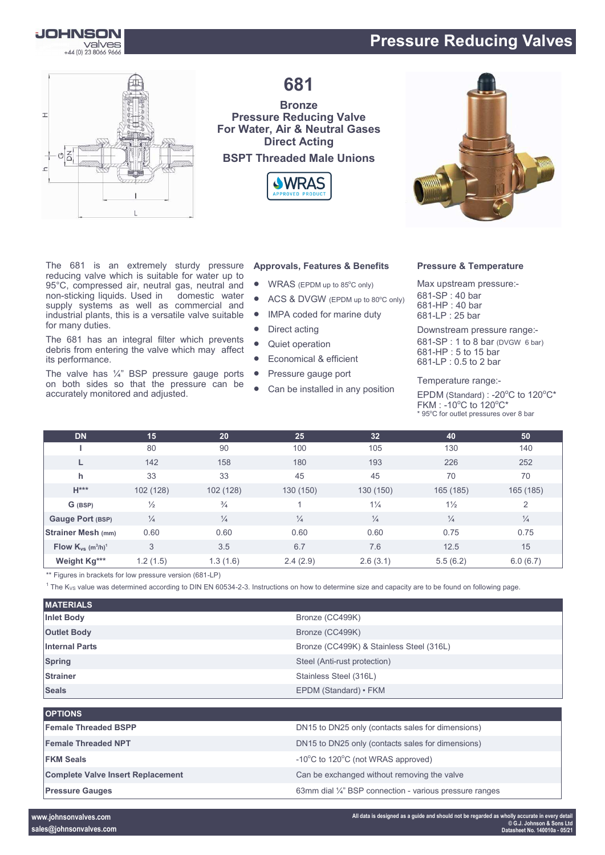# **Pressure Reducing Valves**





**681**

### **Bronze Pressure Reducing Valve For Water, Air & Neutral Gases Direct Acting BSPT Threaded Male Unions**





The 681 is an extremely sturdy pressure reducing valve which is suitable for water up to 95°C, compressed air, neutral gas, neutral and<br>non-sticking liquids. Used in domestic water non-sticking liquids. Used in supply systems as well as commercial and industrial plants, this is a versatile valve suitable for many duties.

The 681 has an integral filter which prevents debris from entering the valve which may affect its performance.

The valve has  $\frac{1}{4}$ " BSP pressure gauge ports on both sides so that the pressure can be accurately monitored and adjusted.

### **Approvals, Features & Benefits**

- $\bullet$  WRAS (EPDM up to 85 $^{\circ}$ C only)
- ACS & DVGW (EPDM up to 80°C only)
- IMPA coded for marine duty
- Direct acting
- Quiet operation
- **Economical & efficient**
- Pressure gauge port
- Can be installed in any position

#### **Pressure & Temperature**

Max upstream pressure:- -SP : 40 bar -HP : 40 bar -LP : 25 bar

Downstream pressure range:- -SP : 1 to 8 bar (DVGW 6 bar) -HP : 5 to 15 bar -LP : 0.5 to 2 bar

Temperature range:-

EPDM (Standard) : -20 $^{\circ}$ C to 120 $^{\circ}$ C\*  $FKM : -10^{\circ}C$  to  $120^{\circ}C^*$ \* 95°C for outlet pressures over 8 bar

| <b>DN</b>                                      | 15            | 20 <sub>1</sub> | 25            | 32 <sub>2</sub> | 40             | 50            |
|------------------------------------------------|---------------|-----------------|---------------|-----------------|----------------|---------------|
|                                                | 80            | 90              | 100           | 105             | 130            | 140           |
|                                                | 142           | 158             | 180           | 193             | 226            | 252           |
| h                                              | 33            | 33              | 45            | 45              | 70             | 70            |
| $H***$                                         | 102 (128)     | 102 (128)       | 130 (150)     | 130 (150)       | 165 (185)      | 165 (185)     |
| G (BSP)                                        | $\frac{1}{2}$ | $\frac{3}{4}$   |               | $1\frac{1}{4}$  | $1\frac{1}{2}$ | 2             |
| Gauge Port (BSP)                               | $\frac{1}{4}$ | $\frac{1}{4}$   | $\frac{1}{4}$ | $\frac{1}{4}$   | $\frac{1}{4}$  | $\frac{1}{4}$ |
| <b>Strainer Mesh (mm)</b>                      | 0.60          | 0.60            | 0.60          | 0.60            | 0.75           | 0.75          |
| Flow $K_{vs}$ (m <sup>3</sup> /h) <sup>1</sup> | 3             | 3.5             | 6.7           | 7.6             | 12.5           | 15            |
| Weight Kg***                                   | 1.2(1.5)      | 1.3(1.6)        | 2.4(2.9)      | 2.6(3.1)        | 5.5(6.2)       | 6.0(6.7)      |

\*\* Figures in brackets for low pressure version (681-LP)

 $1$  The K<sub>VS</sub> value was determined according to DIN EN 60534-2-3. Instructions on how to determine size and capacity are to be found on following page.

| <b>MATERIALS</b>      |                                          |
|-----------------------|------------------------------------------|
| <b>Inlet Body</b>     | Bronze (CC499K)                          |
| <b>Outlet Body</b>    | Bronze (CC499K)                          |
| <b>Internal Parts</b> | Bronze (CC499K) & Stainless Steel (316L) |
| <b>Spring</b>         | Steel (Anti-rust protection)             |
| <b>Strainer</b>       | Stainless Steel (316L)                   |
| <b>Seals</b>          | EPDM (Standard) • FKM                    |

| <b>OPTIONS</b>                           |                                                         |
|------------------------------------------|---------------------------------------------------------|
| <b>Female Threaded BSPP</b>              | DN15 to DN25 only (contacts sales for dimensions)       |
| <b>Female Threaded NPT</b>               | DN15 to DN25 only (contacts sales for dimensions)       |
| <b>FKM Seals</b>                         | -10°C to 120°C (not WRAS approved)                      |
| <b>Complete Valve Insert Replacement</b> | Can be exchanged without removing the valve             |
| <b>Pressure Gauges</b>                   | 63mm dial 1/4" BSP connection - various pressure ranges |